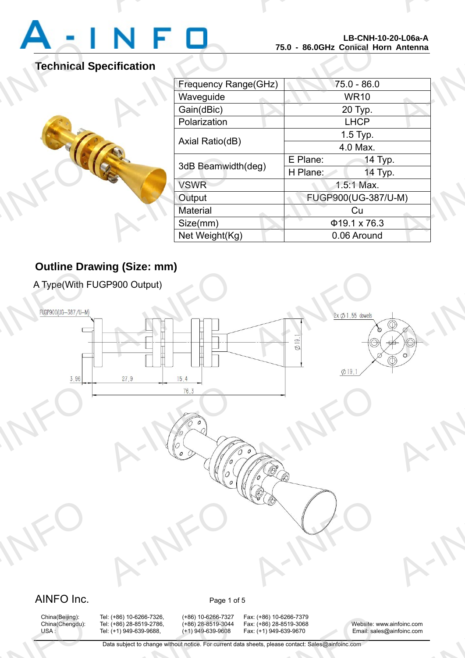A-INFO

### **Technical Specification**



|                             |          | LD-UNN-IU-ZU-LU0d-A<br>75.0 - 86.0GHz Conical Horn Antenna |  |
|-----------------------------|----------|------------------------------------------------------------|--|
| <b>cification</b>           |          |                                                            |  |
| <b>Frequency Range(GHz)</b> |          | $75.0 - 86.0$                                              |  |
| Waveguide                   |          | <b>WR10</b>                                                |  |
| Gain(dBic)                  |          | 20 Typ.                                                    |  |
| Polarization                |          | <b>LHCP</b>                                                |  |
| Axial Ratio(dB)             |          | 1.5 Typ.                                                   |  |
|                             |          | 4.0 Max.                                                   |  |
| 3dB Beamwidth(deg)          | E Plane: | 14 Typ.                                                    |  |
|                             | H Plane: | 14 Typ.                                                    |  |
| <b>VSWR</b>                 |          | 1.5:1 Max.                                                 |  |
| Output                      |          | FUGP900(UG-387/U-M)                                        |  |
| <b>Material</b>             |          | Cu                                                         |  |
| Size(mm)                    |          | $\Phi$ 19.1 x 76.3                                         |  |
| Net Weight(Kg)              |          | 0.06 Around                                                |  |

A-INFORMATION CONTINUES.

### **Outline Drawing (Size: mm)**

A Type(With FUGP900 Output)



## China(Beijing):<br>China(Chengdu):<br>USA :

China(Beijing): Tel: (+86) 10-6266-7326, (+86) 10-6266-7327 Fax: (+86) 10-6266-7379<br>China(Chengdu): Tel: (+86) 28-8519-2786, (+86) 28-8519-3044 Fax: (+86) 28-8519-3068 1: (+86) 10-6266-7326, (+86) 10-6266-7327<br>1: (+86) 28-8519-2786, (+86) 28-8519-3044<br>1: (+1) 949-639-9688, (+1) 949-639-9608<br>Data subject to change without notice. For current d

x: (+86) 10-6266-7379<br>x: (+86) 28-8519-3068<br>x: (+1) 949-639-9670 Email: sale<br>heets, please contact: Sales@ainfoinc.com

China(Chengdu): Tel: (+86) 28-8519-2786, (+86) 28-8519-3044 Fax: (+86) 28-8519-3068 Website: www.ainfoinc.com USA : Tel: (+1) 949-639-9688, (+1) 949-639-9608 Fax: (+1) 949-639-9670 Email: sales@ainfoinc.com infoinc.com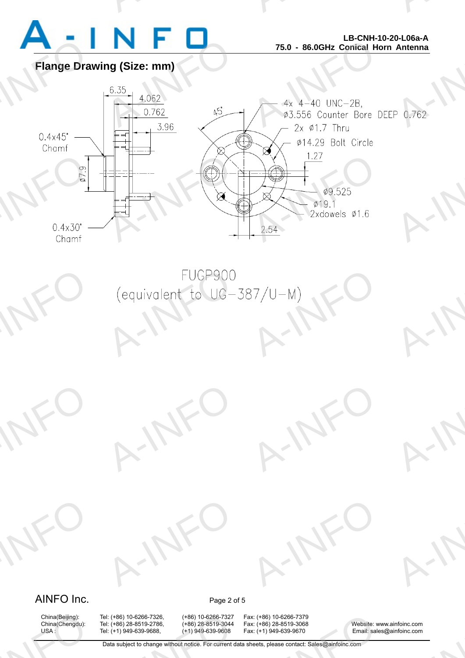

A-INFO

A-INFO

A-INFO

A-INFORMATION CONTINUES.

**Flange Drawing (Size: mm)**



### AINFO Inc. Page 2 of 5

A-INFO

A-INFO

China(Beijing):<br>China(Chengdu):<br>USA :

China(Beijing): Tel: (+86) 10-6266-7326, (+86) 10-6266-7327 Fax: (+86) 10-6266-7379 1: (+86) 10-6266-7326, (+86) 10-6266-7327<br>1: (+86) 28-8519-2786, (+86) 28-8519-3044<br>1: (+1) 949-639-9688, (+1) 949-639-9608<br>Data subject to change without notice. For current d

A-IFO

A-IFO

x: (+86) 10-6266-7379<br>x: (+86) 28-8519-3068<br>x: (+1) 949-639-9670 Email: sale<br>heets, please contact: Sales@ainfoinc.com

A-IFO

A-IFO

China(Chengdu): Tel: (+86) 28-8519-2786, (+86) 28-8519-3044 Fax: (+86) 28-8519-3068 Website: www.ainfoinc.com USA : Tel: (+1) 949-639-9688, (+1) 949-639-9608 Fax: (+1) 949-639-9670 Email: sales@ainfoinc.com infoinc.com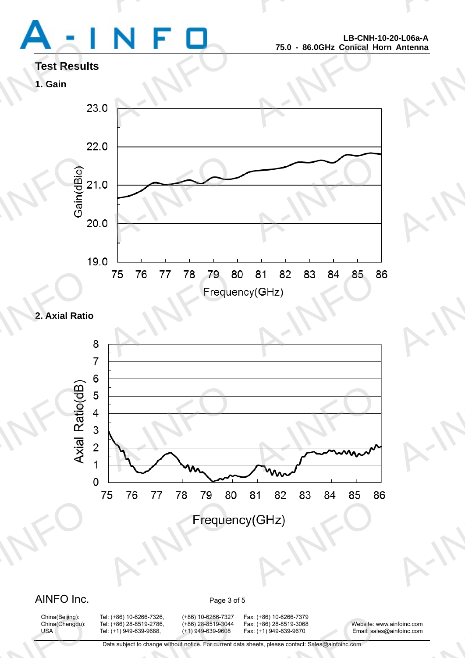# Test Result<br>1. Gain<br>2

A-INFORMATION CONTINUES.

A-INFO

A-INFO

A-INFO

A-INFO

A-INFO

A-INFORMATION CONTINUES.

## **Test Results**

### **1. Gain**



### **2. Axial Ratio**

![](_page_2_Figure_6.jpeg)

### AINFO Inc. Page 3 of 5

China(Beijing):<br>China(Chengdu):<br>USA :

1: (+86) 10-6266-7326, (+86) 10-6266-7327<br>1: (+86) 28-8519-2786, (+86) 28-8519-3044<br>1: (+1) 949-639-9688, (+1) 949-639-9608<br>Data subject to change without notice. For current d

China(Beijing): Tel: (+86) 10-6266-7326, (+86) 10-6266-7327 Fax: (+86) 10-6266-7379 x: (+86) 10-6266-7379<br>x: (+86) 28-8519-3068<br>x: (+1) 949-639-9670 Email: sale<br>heets, please contact: Sales@ainfoinc.com

China(Chengdu): Tel: (+86) 28-8519-2786, (+86) 28-8519-3044 Fax: (+86) 28-8519-3068 Website: www.ainfoinc.com USA : Tel: (+1) 949-639-9688, (+1) 949-639-9608 Fax: (+1) 949-639-9670 Email: sales@ainfoinc.com infoinc.com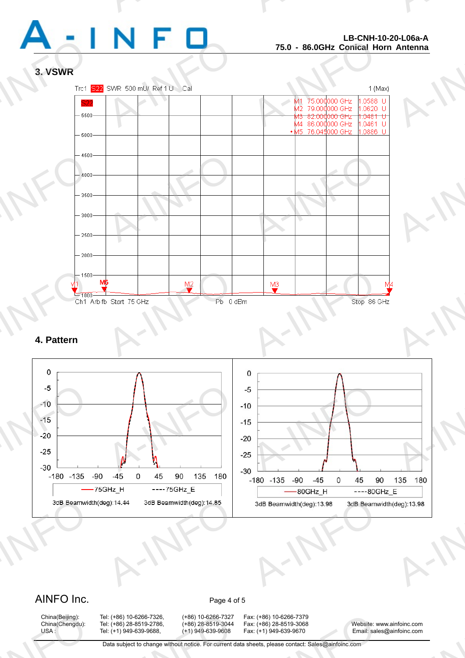![](_page_3_Picture_0.jpeg)

A-INFO

A-INFORMATION CONTINUES.

### **3. VSWR**

![](_page_3_Figure_3.jpeg)

### **4. Pattern**

![](_page_3_Figure_5.jpeg)

### AINFO Inc. Page 4 of 5

China(Beijing):<br>China(Chengdu):<br>USA :

China(Beijing): Tel: (+86) 10-6266-7326, (+86) 10-6266-7327 Fax: (+86) 10-6266-7379 1: (+86) 10-6266-7326, (+86) 10-6266-7327<br>1: (+86) 28-8519-2786, (+86) 28-8519-3044<br>1: (+1) 949-639-9688, (+1) 949-639-9608<br>Data subject to change without notice. For current d

x: (+86) 10-6266-7379<br>x: (+86) 28-8519-3068<br>x: (+1) 949-639-9670 Email: sale<br>heets, please contact: Sales@ainfoinc.com

China(Chengdu): Tel: (+86) 28-8519-2786, (+86) 28-8519-3044 Fax: (+86) 28-8519-3068 Website: www.ainfoinc.com USA : Tel: (+1) 949-639-9688, (+1) 949-639-9608 Fax: (+1) 949-639-9670 Email: sales@ainfoinc.com infoinc.com